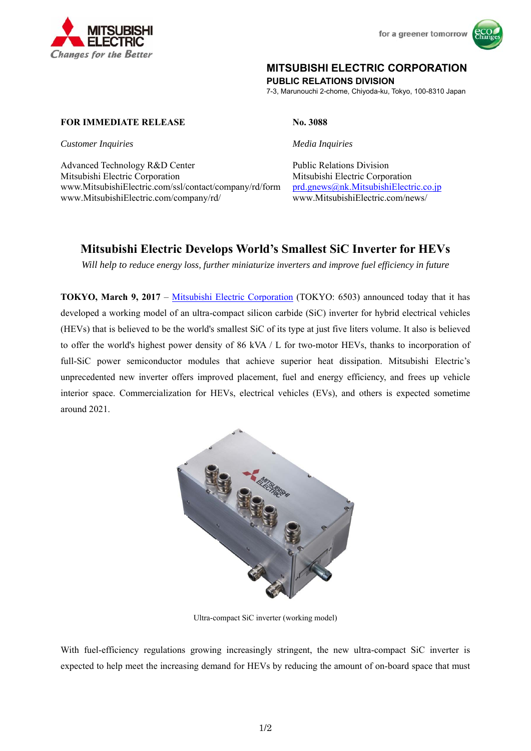



## **MITSUBISHI ELECTRIC CORPORATION**

**PUBLIC RELATIONS DIVISION** 

7-3, Marunouchi 2-chome, Chiyoda-ku, Tokyo, 100-8310 Japan

## **FOR IMMEDIATE RELEASE No. 3088**

*Customer Inquiries* Media Inquiries **Media Inquiries** 

Advanced Technology R&D Center Public Relations Division Mitsubishi Electric Corporation Mitsubishi Electric Corporation www.MitsubishiElectric.com/ssl/contact/company/rd/form www.MitsubishiElectric.com/company/rd/

prd.gnews@nk.MitsubishiElectric.co.jp www.MitsubishiElectric.com/news/

# **Mitsubishi Electric Develops World's Smallest SiC Inverter for HEVs**

*Will help to reduce energy loss, further miniaturize inverters and improve fuel efficiency in future* 

**TOKYO, March 9, 2017** – Mitsubishi Electric Corporation (TOKYO: 6503) announced today that it has developed a working model of an ultra-compact silicon carbide (SiC) inverter for hybrid electrical vehicles (HEVs) that is believed to be the world's smallest SiC of its type at just five liters volume. It also is believed to offer the world's highest power density of 86 kVA / L for two-motor HEVs, thanks to incorporation of full-SiC power semiconductor modules that achieve superior heat dissipation. Mitsubishi Electric's unprecedented new inverter offers improved placement, fuel and energy efficiency, and frees up vehicle interior space. Commercialization for HEVs, electrical vehicles (EVs), and others is expected sometime around 2021.



Ultra-compact SiC inverter (working model)

With fuel-efficiency regulations growing increasingly stringent, the new ultra-compact SiC inverter is expected to help meet the increasing demand for HEVs by reducing the amount of on-board space that must